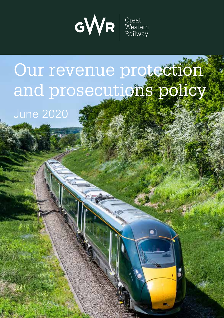

# Our revenue protection and prosecutions policy

June 2020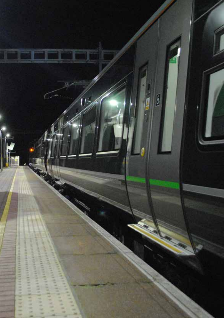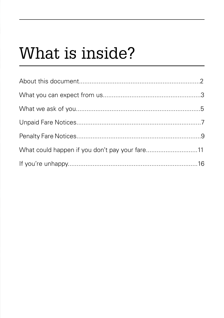## What is inside?

| What could happen if you don't pay your fare11 |  |
|------------------------------------------------|--|
|                                                |  |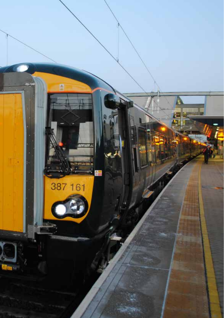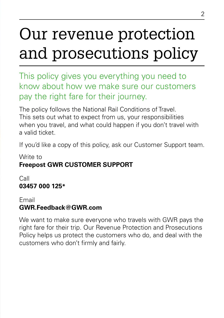## Our revenue protection and prosecutions policy

This policy gives you everything you need to know about how we make sure our customers pay the right fare for their journey.

The policy follows the National Rail Conditions of Travel. This sets out what to expect from us, your responsibilities when you travel, and what could happen if you don't travel with a valid ticket.

If you'd like a copy of this policy, ask our Customer Support team.

#### Write to **Freepost GWR CUSTOMER SUPPORT**

Call **03457 000 125\***

Email **GWR.Feedback@GWR.com**

We want to make sure everyone who travels with GWR pays the right fare for their trip. Our Revenue Protection and Prosecutions Policy helps us protect the customers who do, and deal with the customers who don't firmly and fairly.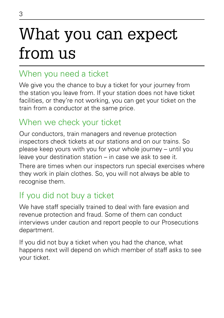## What you can expect from us

## When you need a ticket

We give you the chance to buy a ticket for your journey from the station you leave from. If your station does not have ticket facilities, or they're not working, you can get your ticket on the train from a conductor at the same price.

### When we check your ticket

Our conductors, train managers and revenue protection inspectors check tickets at our stations and on our trains. So please keep yours with you for your whole journey – until you leave your destination station – in case we ask to see it.

There are times when our inspectors run special exercises where they work in plain clothes. So, you will not always be able to recognise them.

### If you did not buy a ticket

We have staff specially trained to deal with fare evasion and revenue protection and fraud. Some of them can conduct interviews under caution and report people to our Prosecutions department.

If you did not buy a ticket when you had the chance, what happens next will depend on which member of staff asks to see your ticket.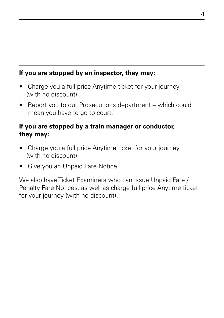#### **If you are stopped by an inspector, they may:**

- Charge you a full price Anytime ticket for your journey (with no discount).
- Report you to our Prosecutions department which could mean you have to go to court.

#### **If you are stopped by a train manager or conductor, they may:**

- Charge you a full price Anytime ticket for your journey (with no discount).
- Give you an Unpaid Fare Notice.

We also have Ticket Examiners who can issue Unpaid Fare / Penalty Fare Notices, as well as charge full price Anytime ticket for your journey (with no discount).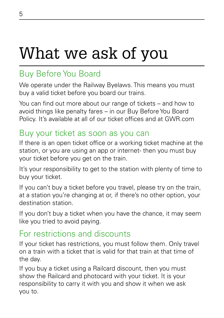## What we ask of you

## Buy Before You Board

We operate under the Railway Byelaws. This means you must buy a valid ticket before you board our trains.

You can find out more about our range of tickets – and how to avoid things like penalty fares – in our Buy Before You Board Policy. It's available at all of our ticket offices and at GWR.com

#### Buy your ticket as soon as you can

If there is an open ticket office or a working ticket machine at the station, or you are using an app or internet- then you must buy your ticket before you get on the train.

It's your responsibility to get to the station with plenty of time to buy your ticket.

If you can't buy a ticket before you travel, please try on the train, at a station you're changing at or, if there's no other option, your destination station.

If you don't buy a ticket when you have the chance, it may seem like you tried to avoid paying.

### For restrictions and discounts

If your ticket has restrictions, you must follow them. Only travel on a train with a ticket that is valid for that train at that time of the day.

If you buy a ticket using a Railcard discount, then you must show the Railcard and photocard with your ticket. It is your responsibility to carry it with you and show it when we ask you to.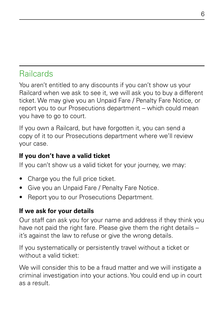### **Railcards**

You aren't entitled to any discounts if you can't show us your Railcard when we ask to see it, we will ask you to buy a different ticket. We may give you an Unpaid Fare / Penalty Fare Notice, or report you to our Prosecutions department – which could mean you have to go to court.

If you own a Railcard, but have forgotten it, you can send a copy of it to our Prosecutions department where we'll review your case.

#### **If you don't have a valid ticket**

If you can't show us a valid ticket for your journey, we may:

- Charge you the full price ticket.
- Give you an Unpaid Fare / Penalty Fare Notice.
- Report you to our Prosecutions Department.

#### **If we ask for your details**

Our staff can ask you for your name and address if they think you have not paid the right fare. Please give them the right details it's against the law to refuse or give the wrong details.

If you systematically or persistently travel without a ticket or without a valid ticket:

We will consider this to be a fraud matter and we will instigate a criminal investigation into your actions. You could end up in court as a result.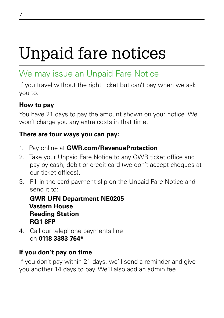## Unpaid fare notices

## We may issue an Unpaid Fare Notice

If you travel without the right ticket but can't pay when we ask you to.

#### **How to pay**

You have 21 days to pay the amount shown on your notice. We won't charge you any extra costs in that time.

#### **There are four ways you can pay:**

- 1. Pay online at **GWR.com/RevenueProtection**
- 2. Take your Unpaid Fare Notice to any GWR ticket office and pay by cash, debit or credit card (we don't accept cheques at our ticket offices).
- 3. Fill in the card payment slip on the Unpaid Fare Notice and send it to:

 **GWR UFN Department NE0205 Vastern House Reading Station RG1 8FP**

4. Call our telephone payments line on **0118 3383 764\***

#### **If you don't pay on time**

If you don't pay within 21 days, we'll send a reminder and give you another 14 days to pay. We'll also add an admin fee.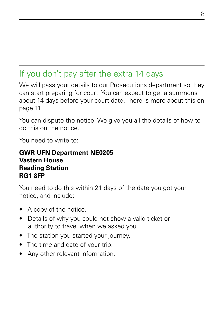## If you don't pay after the extra 14 days

We will pass your details to our Prosecutions department so they can start preparing for court. You can expect to get a summons about 14 days before your court date. There is more about this on page 11.

You can dispute the notice. We give you all the details of how to do this on the notice.

You need to write to:

#### **GWR UFN Department NE0205 Vastern House Reading Station RG1 8FP**

You need to do this within 21 days of the date you got your notice, and include:

- A copy of the notice.
- Details of why you could not show a valid ticket or authority to travel when we asked you.
- The station you started your journey.
- The time and date of your trip.
- Any other relevant information.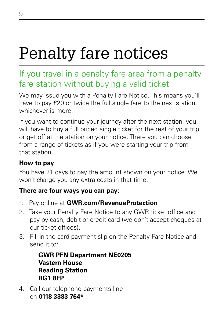## Penalty fare notices

### If you travel in a penalty fare area from a penalty fare station without buying a valid ticket

We may issue you with a Penalty Fare Notice. This means you'll have to pay £20 or twice the full single fare to the next station, whichever is more.

If you want to continue your journey after the next station, you will have to buy a full priced single ticket for the rest of your trip or get off at the station on your notice. There you can choose from a range of tickets as if you were starting your trip from that station.

#### **How to pay**

You have 21 days to pay the amount shown on your notice. We won't charge you any extra costs in that time.

#### **There are four ways you can pay:**

- 1. Pay online at **GWR.com/RevenueProtection**
- 2. Take your Penalty Fare Notice to any GWR ticket office and pay by cash, debit or credit card (we don't accept cheques at our ticket offices).
- 3. Fill in the card payment slip on the Penalty Fare Notice and send it to:

**GWR PFN Department NE0205 Vastern House Reading Station RG1 8FP**

4. Call our telephone payments line on **0118 3383 764\***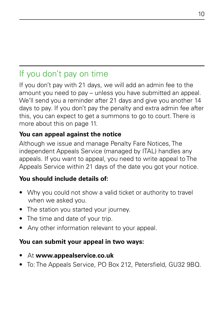## If you don't pay on time

If you don't pay with 21 days, we will add an admin fee to the amount you need to pay – unless you have submitted an appeal. We'll send you a reminder after 21 days and give you another 14 days to pay. If you don't pay the penalty and extra admin fee after this, you can expect to get a summons to go to court. There is more about this on page 11.

#### **You can appeal against the notice**

Although we issue and manage Penalty Fare Notices, The independent Appeals Service (managed by ITAL) handles any appeals. If you want to appeal, you need to write appeal to The Appeals Service within 21 days of the date you got your notice.

#### **You should include details of:**

- Why you could not show a valid ticket or authority to travel when we asked you.
- The station you started your journey.
- The time and date of your trip.
- Any other information relevant to your appeal.

#### **You can submit your appeal in two ways:**

- At **www.appealservice.co.uk**
- To: The Appeals Service, PO Box 212, Petersfield, GU32 9BQ.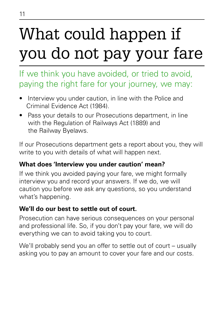## What could happen if you do not pay your fare

If we think you have avoided, or tried to avoid, paying the right fare for your journey, we may:

- Interview you under caution, in line with the Police and Criminal Evidence Act (1984).
- Pass your details to our Prosecutions department, in line with the Regulation of Railways Act (1889) and the Railway Byelaws.

If our Prosecutions department gets a report about you, they will write to you with details of what will happen next.

#### **What does 'Interview you under caution' mean?**

If we think you avoided paying your fare, we might formally interview you and record your answers. If we do, we will caution you before we ask any questions, so you understand what's happening.

#### **We'll do our best to settle out of court.**

Prosecution can have serious consequences on your personal and professional life. So, if you don't pay your fare, we will do everything we can to avoid taking you to court.

We'll probably send you an offer to settle out of court – usually asking you to pay an amount to cover your fare and our costs.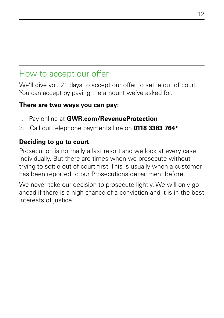### How to accept our offer

We'll give you 21 days to accept our offer to settle out of court. You can accept by paying the amount we've asked for.

#### **There are two ways you can pay:**

- 1. Pay online at **GWR.com/RevenueProtection**
- 2. Call our telephone payments line on **0118 3383 764\***

#### **Deciding to go to court**

Prosecution is normally a last resort and we look at every case individually. But there are times when we prosecute without trying to settle out of court first. This is usually when a customer has been reported to our Prosecutions department before.

We never take our decision to prosecute lightly. We will only go ahead if there is a high chance of a conviction and it is in the best interests of justice.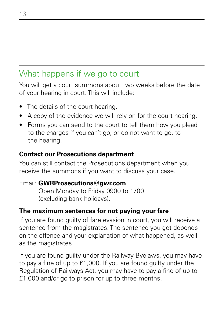### What happens if we go to court

You will get a court summons about two weeks before the date of your hearing in court. This will include:

- The details of the court hearing.
- A copy of the evidence we will rely on for the court hearing.
- Forms you can send to the court to tell them how you plead to the charges if you can't go, or do not want to go, to the hearing.

#### **Contact our Prosecutions department**

You can still contact the Prosecutions department when you receive the summons if you want to discuss your case.

#### Email: **GWRProsecutions@gwr.com**

Open Monday to Friday 0900 to 1700 (excluding bank holidays).

#### **The maximum sentences for not paying your fare**

If you are found guilty of fare evasion in court, you will receive a sentence from the magistrates. The sentence you get depends on the offence and your explanation of what happened, as well as the magistrates.

If you are found guilty under the Railway Byelaws, you may have to pay a fine of up to £1,000. If you are found guilty under the Regulation of Railways Act, you may have to pay a fine of up to £1,000 and/or go to prison for up to three months.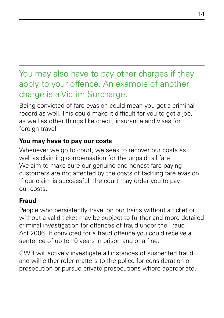### You may also have to pay other charges if they apply to your offence. An example of another charge is a Victim Surcharge.

Being convicted of fare evasion could mean you get a criminal record as well. This could make it difficult for you to get a job, as well as other things like credit, insurance and visas for foreign travel.

#### **You may have to pay our costs**

Whenever we go to court, we seek to recover our costs as well as claiming compensation for the unpaid rail fare. We aim to make sure our genuine and honest fare-paying customers are not affected by the costs of tackling fare evasion. If our claim is successful, the court may order you to pay our costs.

#### **Fraud**

People who persistently travel on our trains without a ticket or without a valid ticket may be subject to further and more detailed criminal investigation for offences of fraud under the Fraud Act 2006. If convicted for a fraud offence you could receive a sentence of up to 10 years in prison and or a fine.

GWR will actively investigate all instances of suspected fraud and will either refer matters to the police for consideration or prosecution or pursue private prosecutions where appropriate.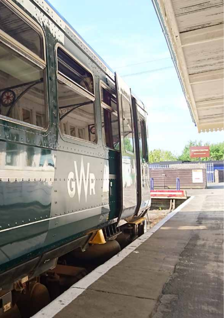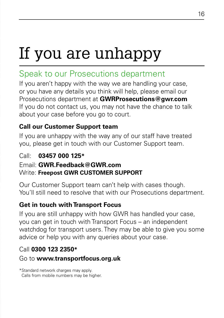## If you are unhappy

## Speak to our Prosecutions department

If you aren't happy with the way we are handling your case. or you have any details you think will help, please email our Prosecutions department at **GWRProsecutions@gwr.com** If you do not contact us, you may not have the chance to talk about your case before you go to court.

#### **Call our Customer Support team**

If you are unhappy with the way any of our staff have treated you, please get in touch with our Customer Support team.

#### Call: **03457 000 125\***

#### Email: **GWR.Feedback@GWR.com**

#### Write: **Freepost GWR CUSTOMER SUPPORT**

Our Customer Support team can't help with cases though. You'll still need to resolve that with our Prosecutions department.

#### **Get in touch with Transport Focus**

If you are still unhappy with how GWR has handled your case, you can get in touch with Transport Focus – an independent watchdog for transport users. They may be able to give you some advice or help you with any queries about your case.

#### Call **0300 123 2350\***

#### Go to **www.transportfocus.org.uk**

\*Standard network charges may apply. Calls from mobile numbers may be higher.